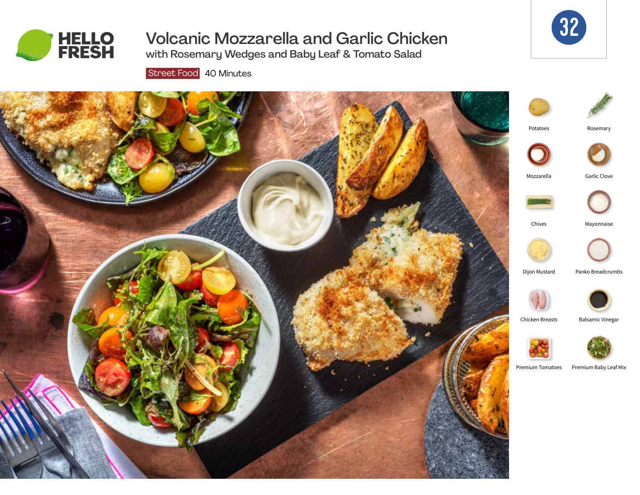

# Volcanic Mozzarella and Garlic Chicken

with Rosemary Wedges and Baby Leaf & Tomato Salad

Street Food 40 Minutes